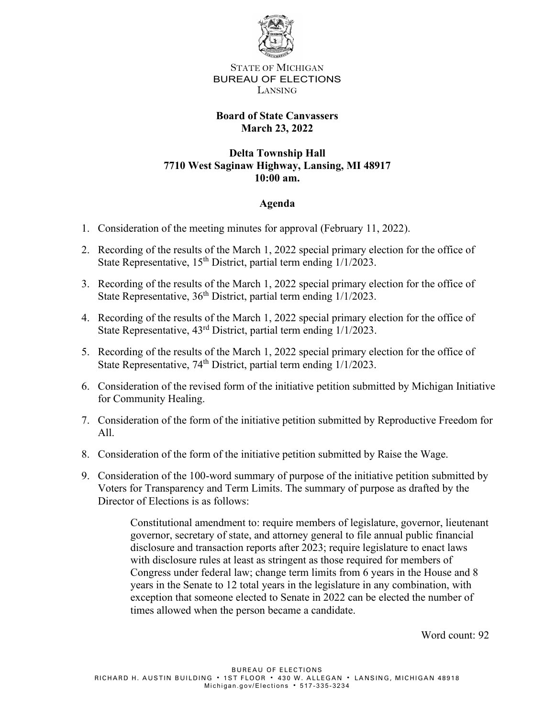

STATE OF MICHIGAN BUREAU OF ELECTIONS LANSING

## **Board of State Canvassers March 23, 2022**

## **Delta Township Hall 7710 West Saginaw Highway, Lansing, MI 48917 10:00 am.**

## **Agenda**

- 1. Consideration of the meeting minutes for approval (February 11, 2022).
- 2. Recording of the results of the March 1, 2022 special primary election for the office of State Representative,  $15<sup>th</sup>$  District, partial term ending  $1/1/2023$ .
- 3. Recording of the results of the March 1, 2022 special primary election for the office of State Representative,  $36<sup>th</sup>$  District, partial term ending  $1/1/2023$ .
- 4. Recording of the results of the March 1, 2022 special primary election for the office of State Representative, 43<sup>rd</sup> District, partial term ending 1/1/2023.
- 5. Recording of the results of the March 1, 2022 special primary election for the office of State Representative,  $74<sup>th</sup>$  District, partial term ending  $1/1/2023$ .
- 6. Consideration of the revised form of the initiative petition submitted by Michigan Initiative for Community Healing.
- 7. Consideration of the form of the initiative petition submitted by Reproductive Freedom for All.
- 8. Consideration of the form of the initiative petition submitted by Raise the Wage.
- 9. Consideration of the 100-word summary of purpose of the initiative petition submitted by Voters for Transparency and Term Limits. The summary of purpose as drafted by the Director of Elections is as follows:

Constitutional amendment to: require members of legislature, governor, lieutenant governor, secretary of state, and attorney general to file annual public financial disclosure and transaction reports after 2023; require legislature to enact laws with disclosure rules at least as stringent as those required for members of Congress under federal law; change term limits from 6 years in the House and 8 years in the Senate to 12 total years in the legislature in any combination, with exception that someone elected to Senate in 2022 can be elected the number of times allowed when the person became a candidate.

Word count: 92